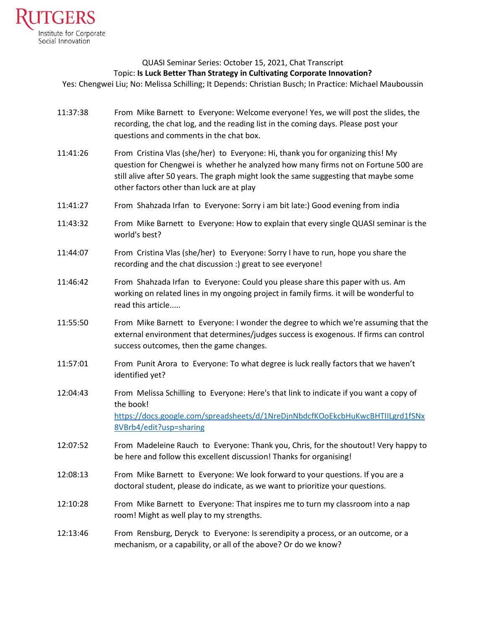

## QUASI Seminar Series: October 15, 2021, Chat Transcript Topic: **Is Luck Better Than Strategy in Cultivating Corporate Innovation?**

Yes: Chengwei Liu; No: Melissa Schilling; It Depends: Christian Busch; In Practice: Michael Mauboussin

- 11:37:38 From Mike Barnett to Everyone: Welcome everyone! Yes, we will post the slides, the recording, the chat log, and the reading list in the coming days. Please post your questions and comments in the chat box.
- 11:41:26 From Cristina Vlas (she/her) to Everyone: Hi, thank you for organizing this! My question for Chengwei is whether he analyzed how many firms not on Fortune 500 are still alive after 50 years. The graph might look the same suggesting that maybe some other factors other than luck are at play
- 11:41:27 From Shahzada Irfan to Everyone: Sorry i am bit late:) Good evening from india
- 11:43:32 From Mike Barnett to Everyone: How to explain that every single QUASI seminar is the world's best?
- 11:44:07 From Cristina Vlas (she/her) to Everyone: Sorry I have to run, hope you share the recording and the chat discussion :) great to see everyone!
- 11:46:42 From Shahzada Irfan to Everyone: Could you please share this paper with us. Am working on related lines in my ongoing project in family firms. it will be wonderful to read this article.....
- 11:55:50 From Mike Barnett to Everyone: I wonder the degree to which we're assuming that the external environment that determines/judges success is exogenous. If firms can control success outcomes, then the game changes.
- 11:57:01 From Punit Arora to Everyone: To what degree is luck really factors that we haven't identified yet?
- 12:04:43 From Melissa Schilling to Everyone: Here's that link to indicate if you want a copy of the book! [https://docs.google.com/spreadsheets/d/1NreDjnNbdcfKOoEkcbHuKwcBHTIILgrd1fSNx](https://docs.google.com/spreadsheets/d/1NreDjnNbdcfKOoEkcbHuKwcBHTIILgrd1fSNx8VBrb4/edit?usp=sharing) [8VBrb4/edit?usp=sharing](https://docs.google.com/spreadsheets/d/1NreDjnNbdcfKOoEkcbHuKwcBHTIILgrd1fSNx8VBrb4/edit?usp=sharing)
- 12:07:52 From Madeleine Rauch to Everyone: Thank you, Chris, for the shoutout! Very happy to be here and follow this excellent discussion! Thanks for organising!
- 12:08:13 From Mike Barnett to Everyone: We look forward to your questions. If you are a doctoral student, please do indicate, as we want to prioritize your questions.
- 12:10:28 From Mike Barnett to Everyone: That inspires me to turn my classroom into a nap room! Might as well play to my strengths.
- 12:13:46 From Rensburg, Deryck to Everyone: Is serendipity a process, or an outcome, or a mechanism, or a capability, or all of the above? Or do we know?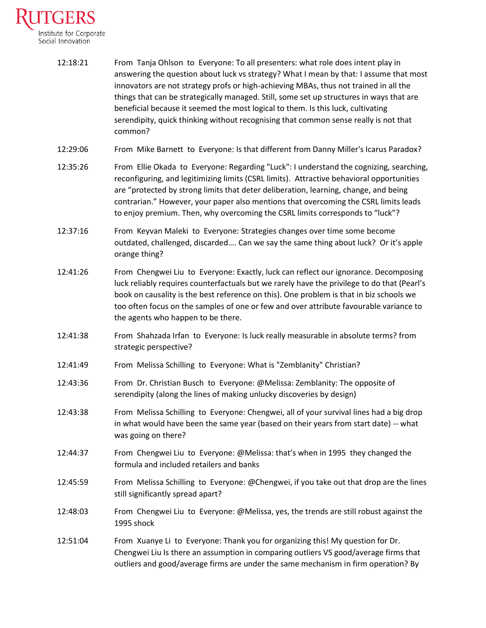

| 12:18:21 | From Tanja Ohlson to Everyone: To all presenters: what role does intent play in          |
|----------|------------------------------------------------------------------------------------------|
|          | answering the question about luck vs strategy? What I mean by that: I assume that most   |
|          | innovators are not strategy profs or high-achieving MBAs, thus not trained in all the    |
|          | things that can be strategically managed. Still, some set up structures in ways that are |
|          | beneficial because it seemed the most logical to them. Is this luck, cultivating         |
|          | serendipity, quick thinking without recognising that common sense really is not that     |
|          | common?                                                                                  |

- 12:29:06 From Mike Barnett to Everyone: Is that different from Danny Miller's Icarus Paradox?
- 12:35:26 From Ellie Okada to Everyone: Regarding "Luck": I understand the cognizing, searching, reconfiguring, and legitimizing limits (CSRL limits). Attractive behavioral opportunities are "protected by strong limits that deter deliberation, learning, change, and being contrarian." However, your paper also mentions that overcoming the CSRL limits leads to enjoy premium. Then, why overcoming the CSRL limits corresponds to "luck"?
- 12:37:16 From Keyvan Maleki to Everyone: Strategies changes over time some become outdated, challenged, discarded…. Can we say the same thing about luck? Or it's apple orange thing?
- 12:41:26 From Chengwei Liu to Everyone: Exactly, luck can reflect our ignorance. Decomposing luck reliably requires counterfactuals but we rarely have the privilege to do that (Pearl's book on causality is the best reference on this). One problem is that in biz schools we too often focus on the samples of one or few and over attribute favourable variance to the agents who happen to be there.
- 12:41:38 From Shahzada Irfan to Everyone: Is luck really measurable in absolute terms? from strategic perspective?
- 12:41:49 From Melissa Schilling to Everyone: What is "Zemblanity" Christian?
- 12:43:36 From Dr. Christian Busch to Everyone: @Melissa: Zemblanity: The opposite of serendipity (along the lines of making unlucky discoveries by design)
- 12:43:38 From Melissa Schilling to Everyone: Chengwei, all of your survival lines had a big drop in what would have been the same year (based on their years from start date) -- what was going on there?
- 12:44:37 From Chengwei Liu to Everyone: @Melissa: that's when in 1995 they changed the formula and included retailers and banks
- 12:45:59 From Melissa Schilling to Everyone: @Chengwei, if you take out that drop are the lines still significantly spread apart?
- 12:48:03 From Chengwei Liu to Everyone: @Melissa, yes, the trends are still robust against the 1995 shock
- 12:51:04 From Xuanye Li to Everyone: Thank you for organizing this! My question for Dr. Chengwei Liu Is there an assumption in comparing outliers VS good/average firms that outliers and good/average firms are under the same mechanism in firm operation? By